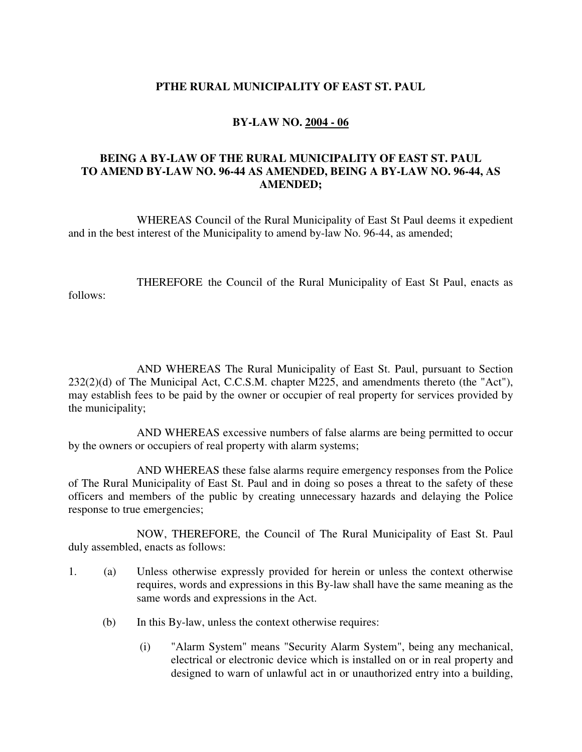## **PTHE RURAL MUNICIPALITY OF EAST ST. PAUL**

## **BY-LAW NO. 2004 - 06**

## **BEING A BY-LAW OF THE RURAL MUNICIPALITY OF EAST ST. PAUL TO AMEND BY-LAW NO. 96-44 AS AMENDED, BEING A BY-LAW NO. 96-44, AS AMENDED;**

 WHEREAS Council of the Rural Municipality of East St Paul deems it expedient and in the best interest of the Municipality to amend by-law No. 96-44, as amended;

 THEREFORE the Council of the Rural Municipality of East St Paul, enacts as follows:

 AND WHEREAS The Rural Municipality of East St. Paul, pursuant to Section 232(2)(d) of The Municipal Act, C.C.S.M. chapter M225, and amendments thereto (the "Act"), may establish fees to be paid by the owner or occupier of real property for services provided by the municipality;

 AND WHEREAS excessive numbers of false alarms are being permitted to occur by the owners or occupiers of real property with alarm systems;

 AND WHEREAS these false alarms require emergency responses from the Police of The Rural Municipality of East St. Paul and in doing so poses a threat to the safety of these officers and members of the public by creating unnecessary hazards and delaying the Police response to true emergencies;

 NOW, THEREFORE, the Council of The Rural Municipality of East St. Paul duly assembled, enacts as follows:

- 1. (a) Unless otherwise expressly provided for herein or unless the context otherwise requires, words and expressions in this By-law shall have the same meaning as the same words and expressions in the Act.
	- (b) In this By-law, unless the context otherwise requires:
		- (i) "Alarm System" means "Security Alarm System", being any mechanical, electrical or electronic device which is installed on or in real property and designed to warn of unlawful act in or unauthorized entry into a building,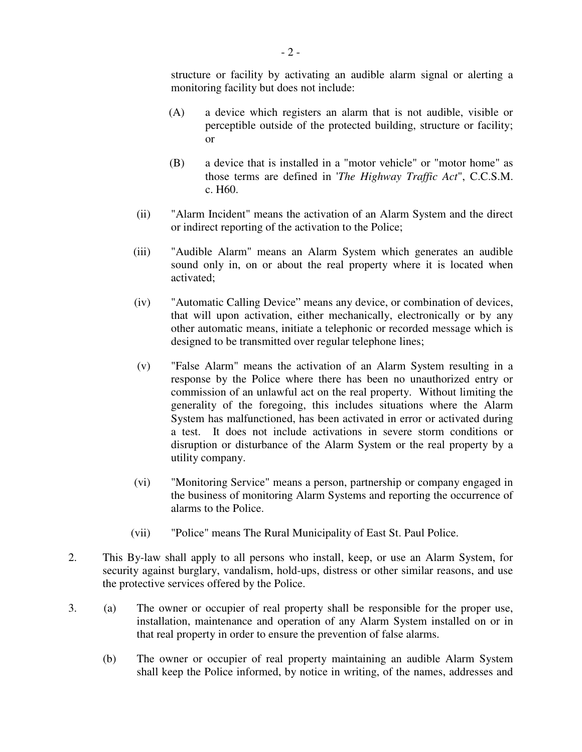structure or facility by activating an audible alarm signal or alerting a monitoring facility but does not include:

- (A) a device which registers an alarm that is not audible, visible or perceptible outside of the protected building, structure or facility; or
- (B) a device that is installed in a "motor vehicle" or "motor home" as those terms are defined in '*The Highway Traffic Act*", C.C.S.M. c. H60.
- (ii) "Alarm Incident" means the activation of an Alarm System and the direct or indirect reporting of the activation to the Police;
- (iii) "Audible Alarm" means an Alarm System which generates an audible sound only in, on or about the real property where it is located when activated;
- (iv) "Automatic Calling Device" means any device, or combination of devices, that will upon activation, either mechanically, electronically or by any other automatic means, initiate a telephonic or recorded message which is designed to be transmitted over regular telephone lines;
- (v) "False Alarm" means the activation of an Alarm System resulting in a response by the Police where there has been no unauthorized entry or commission of an unlawful act on the real property. Without limiting the generality of the foregoing, this includes situations where the Alarm System has malfunctioned, has been activated in error or activated during a test. It does not include activations in severe storm conditions or disruption or disturbance of the Alarm System or the real property by a utility company.
- (vi) "Monitoring Service" means a person, partnership or company engaged in the business of monitoring Alarm Systems and reporting the occurrence of alarms to the Police.
- (vii) "Police" means The Rural Municipality of East St. Paul Police.
- 2. This By-law shall apply to all persons who install, keep, or use an Alarm System, for security against burglary, vandalism, hold-ups, distress or other similar reasons, and use the protective services offered by the Police.
- 3. (a) The owner or occupier of real property shall be responsible for the proper use, installation, maintenance and operation of any Alarm System installed on or in that real property in order to ensure the prevention of false alarms.
	- (b) The owner or occupier of real property maintaining an audible Alarm System shall keep the Police informed, by notice in writing, of the names, addresses and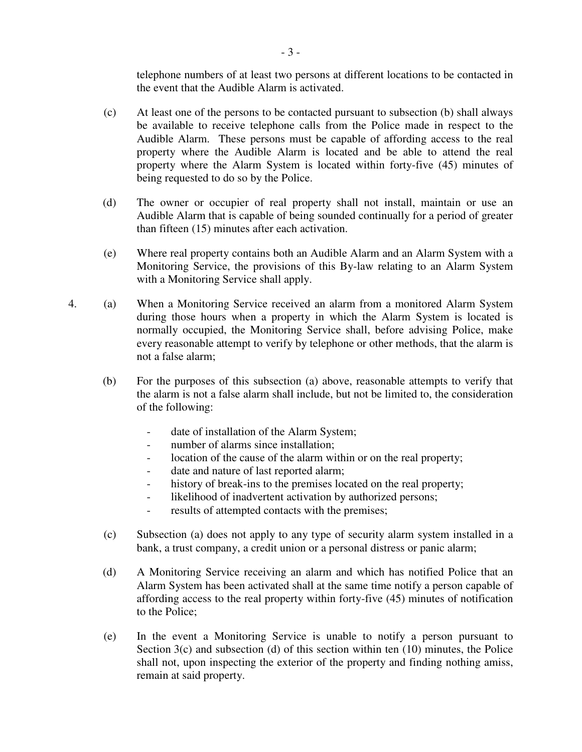telephone numbers of at least two persons at different locations to be contacted in the event that the Audible Alarm is activated.

- (c) At least one of the persons to be contacted pursuant to subsection (b) shall always be available to receive telephone calls from the Police made in respect to the Audible Alarm. These persons must be capable of affording access to the real property where the Audible Alarm is located and be able to attend the real property where the Alarm System is located within forty-five (45) minutes of being requested to do so by the Police.
- (d) The owner or occupier of real property shall not install, maintain or use an Audible Alarm that is capable of being sounded continually for a period of greater than fifteen (15) minutes after each activation.
- (e) Where real property contains both an Audible Alarm and an Alarm System with a Monitoring Service, the provisions of this By-law relating to an Alarm System with a Monitoring Service shall apply.
- 4. (a) When a Monitoring Service received an alarm from a monitored Alarm System during those hours when a property in which the Alarm System is located is normally occupied, the Monitoring Service shall, before advising Police, make every reasonable attempt to verify by telephone or other methods, that the alarm is not a false alarm;
	- (b) For the purposes of this subsection (a) above, reasonable attempts to verify that the alarm is not a false alarm shall include, but not be limited to, the consideration of the following:
		- date of installation of the Alarm System;
		- number of alarms since installation;
		- location of the cause of the alarm within or on the real property;
		- date and nature of last reported alarm;
		- history of break-ins to the premises located on the real property;
		- likelihood of inadvertent activation by authorized persons;
		- results of attempted contacts with the premises;
	- (c) Subsection (a) does not apply to any type of security alarm system installed in a bank, a trust company, a credit union or a personal distress or panic alarm;
	- (d) A Monitoring Service receiving an alarm and which has notified Police that an Alarm System has been activated shall at the same time notify a person capable of affording access to the real property within forty-five (45) minutes of notification to the Police;
	- (e) In the event a Monitoring Service is unable to notify a person pursuant to Section  $3(c)$  and subsection (d) of this section within ten (10) minutes, the Police shall not, upon inspecting the exterior of the property and finding nothing amiss, remain at said property.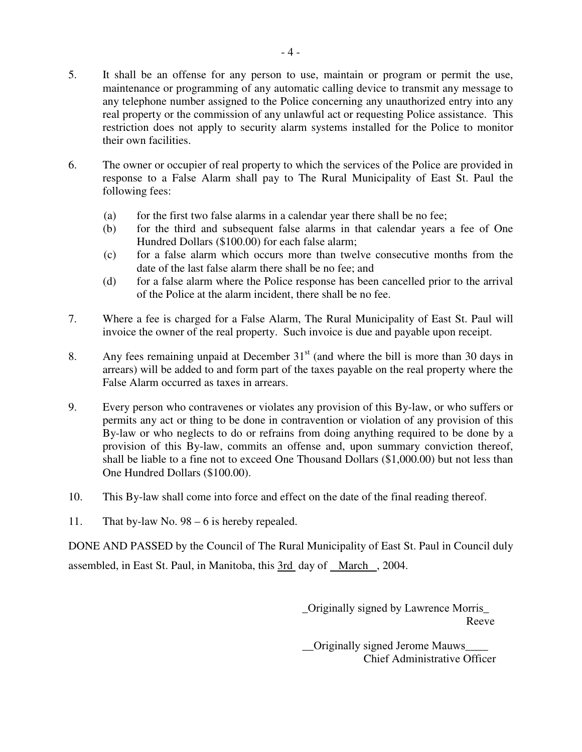- 5. It shall be an offense for any person to use, maintain or program or permit the use, maintenance or programming of any automatic calling device to transmit any message to any telephone number assigned to the Police concerning any unauthorized entry into any real property or the commission of any unlawful act or requesting Police assistance. This restriction does not apply to security alarm systems installed for the Police to monitor their own facilities.
- 6. The owner or occupier of real property to which the services of the Police are provided in response to a False Alarm shall pay to The Rural Municipality of East St. Paul the following fees:
	- (a) for the first two false alarms in a calendar year there shall be no fee;
	- (b) for the third and subsequent false alarms in that calendar years a fee of One Hundred Dollars (\$100.00) for each false alarm;
	- (c) for a false alarm which occurs more than twelve consecutive months from the date of the last false alarm there shall be no fee; and
	- (d) for a false alarm where the Police response has been cancelled prior to the arrival of the Police at the alarm incident, there shall be no fee.
- 7. Where a fee is charged for a False Alarm, The Rural Municipality of East St. Paul will invoice the owner of the real property. Such invoice is due and payable upon receipt.
- 8. Any fees remaining unpaid at December  $31<sup>st</sup>$  (and where the bill is more than 30 days in arrears) will be added to and form part of the taxes payable on the real property where the False Alarm occurred as taxes in arrears.
- 9. Every person who contravenes or violates any provision of this By-law, or who suffers or permits any act or thing to be done in contravention or violation of any provision of this By-law or who neglects to do or refrains from doing anything required to be done by a provision of this By-law, commits an offense and, upon summary conviction thereof, shall be liable to a fine not to exceed One Thousand Dollars (\$1,000.00) but not less than One Hundred Dollars (\$100.00).
- 10. This By-law shall come into force and effect on the date of the final reading thereof.
- 11. That by-law No. 98 6 is hereby repealed.

DONE AND PASSED by the Council of The Rural Municipality of East St. Paul in Council duly assembled, in East St. Paul, in Manitoba, this 3rd day of March , 2004.

> \_Originally signed by Lawrence Morris\_ Reeve

> \_\_Originally signed Jerome Mauws\_\_\_\_ Chief Administrative Officer